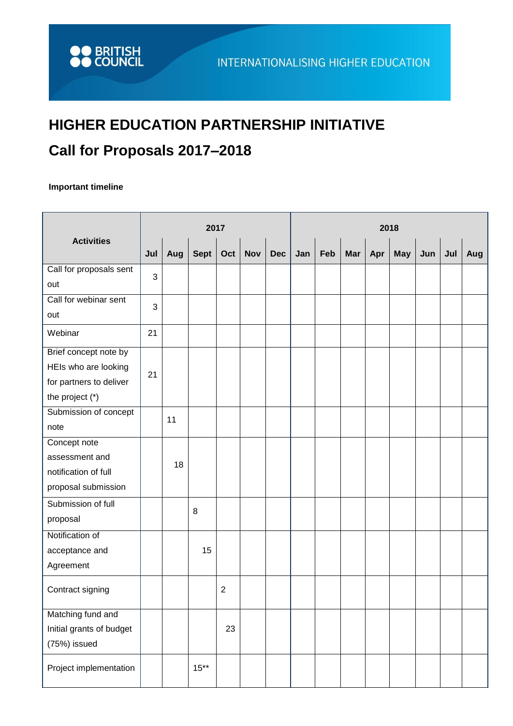## **HIGHER EDUCATION PARTNERSHIP INITIATIVE Call for Proposals 2017–2018**

## **Important timeline**

| <b>Activities</b>        | 2017 |     |         |                |            |            |     | 2018 |            |     |            |     |     |     |  |  |
|--------------------------|------|-----|---------|----------------|------------|------------|-----|------|------------|-----|------------|-----|-----|-----|--|--|
|                          | Jul  | Aug | Sept    | Oct            | <b>Nov</b> | <b>Dec</b> | Jan | Feb  | <b>Mar</b> | Apr | <b>May</b> | Jun | Jul | Aug |  |  |
| Call for proposals sent  | 3    |     |         |                |            |            |     |      |            |     |            |     |     |     |  |  |
| out                      |      |     |         |                |            |            |     |      |            |     |            |     |     |     |  |  |
| Call for webinar sent    | 3    |     |         |                |            |            |     |      |            |     |            |     |     |     |  |  |
| out                      |      |     |         |                |            |            |     |      |            |     |            |     |     |     |  |  |
| Webinar                  | 21   |     |         |                |            |            |     |      |            |     |            |     |     |     |  |  |
| Brief concept note by    |      |     |         |                |            |            |     |      |            |     |            |     |     |     |  |  |
| HEIs who are looking     | 21   |     |         |                |            |            |     |      |            |     |            |     |     |     |  |  |
| for partners to deliver  |      |     |         |                |            |            |     |      |            |     |            |     |     |     |  |  |
| the project (*)          |      |     |         |                |            |            |     |      |            |     |            |     |     |     |  |  |
| Submission of concept    |      | 11  |         |                |            |            |     |      |            |     |            |     |     |     |  |  |
| note                     |      |     |         |                |            |            |     |      |            |     |            |     |     |     |  |  |
| Concept note             |      |     |         |                |            |            |     |      |            |     |            |     |     |     |  |  |
| assessment and           |      | 18  |         |                |            |            |     |      |            |     |            |     |     |     |  |  |
| notification of full     |      |     |         |                |            |            |     |      |            |     |            |     |     |     |  |  |
| proposal submission      |      |     |         |                |            |            |     |      |            |     |            |     |     |     |  |  |
| Submission of full       |      |     | 8       |                |            |            |     |      |            |     |            |     |     |     |  |  |
| proposal                 |      |     |         |                |            |            |     |      |            |     |            |     |     |     |  |  |
| Notification of          |      |     |         |                |            |            |     |      |            |     |            |     |     |     |  |  |
| acceptance and           |      |     | 15      |                |            |            |     |      |            |     |            |     |     |     |  |  |
| Agreement                |      |     |         |                |            |            |     |      |            |     |            |     |     |     |  |  |
| Contract signing         |      |     |         | $\overline{2}$ |            |            |     |      |            |     |            |     |     |     |  |  |
| Matching fund and        |      |     |         |                |            |            |     |      |            |     |            |     |     |     |  |  |
| Initial grants of budget |      |     |         | 23             |            |            |     |      |            |     |            |     |     |     |  |  |
| (75%) issued             |      |     |         |                |            |            |     |      |            |     |            |     |     |     |  |  |
| Project implementation   |      |     | $15***$ |                |            |            |     |      |            |     |            |     |     |     |  |  |